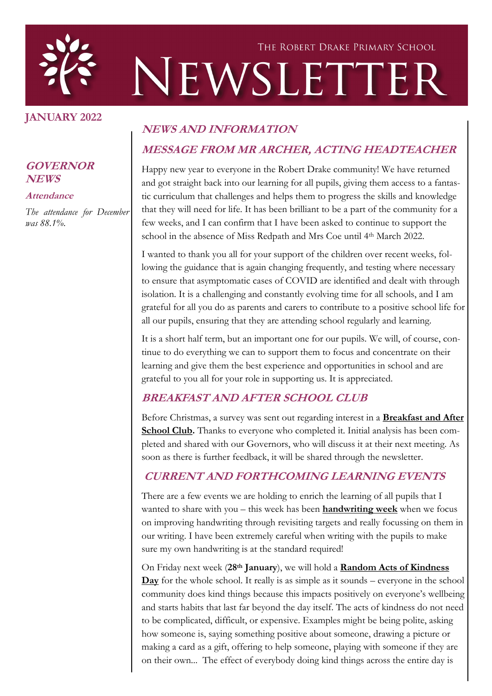

#### **JANUARY 2022**

#### **GOVERNOR NEWS**

#### **Attendance**

*The attendance for December was 88.1%.*

#### **NEWS AND INFORMATION**

## **MESSAGE FROM MR ARCHER, ACTING HEADTEACHER**

Happy new year to everyone in the Robert Drake community! We have returned and got straight back into our learning for all pupils, giving them access to a fantastic curriculum that challenges and helps them to progress the skills and knowledge that they will need for life. It has been brilliant to be a part of the community for a few weeks, and I can confirm that I have been asked to continue to support the school in the absence of Miss Redpath and Mrs Coe until 4th March 2022.

I wanted to thank you all for your support of the children over recent weeks, following the guidance that is again changing frequently, and testing where necessary to ensure that asymptomatic cases of COVID are identified and dealt with through isolation. It is a challenging and constantly evolving time for all schools, and I am grateful for all you do as parents and carers to contribute to a positive school life for all our pupils, ensuring that they are attending school regularly and learning.

It is a short half term, but an important one for our pupils. We will, of course, continue to do everything we can to support them to focus and concentrate on their learning and give them the best experience and opportunities in school and are grateful to you all for your role in supporting us. It is appreciated.

#### **BREAKFAST AND AFTER SCHOOL CLUB**

Before Christmas, a survey was sent out regarding interest in a **Breakfast and After School Club.** Thanks to everyone who completed it. Initial analysis has been completed and shared with our Governors, who will discuss it at their next meeting. As soon as there is further feedback, it will be shared through the newsletter.

# **CURRENT AND FORTHCOMING LEARNING EVENTS**

There are a few events we are holding to enrich the learning of all pupils that I wanted to share with you – this week has been **handwriting week** when we focus on improving handwriting through revisiting targets and really focussing on them in our writing. I have been extremely careful when writing with the pupils to make sure my own handwriting is at the standard required!

On Friday next week (**28th January**), we will hold a **Random Acts of Kindness Day** for the whole school. It really is as simple as it sounds – everyone in the school community does kind things because this impacts positively on everyone's wellbeing and starts habits that last far beyond the day itself. The acts of kindness do not need to be complicated, difficult, or expensive. Examples might be being polite, asking how someone is, saying something positive about someone, drawing a picture or making a card as a gift, offering to help someone, playing with someone if they are on their own... The effect of everybody doing kind things across the entire day is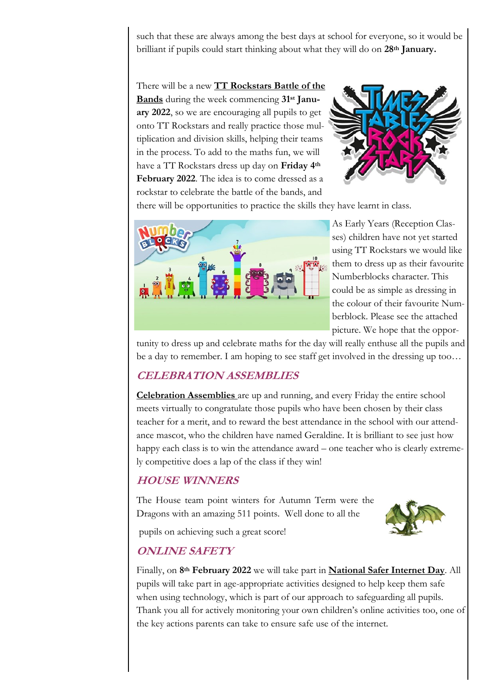such that these are always among the best days at school for everyone, so it would be brilliant if pupils could start thinking about what they will do on **28th January.**

There will be a new **TT Rockstars Battle of the Bands** during the week commencing **31st January 2022**, so we are encouraging all pupils to get onto TT Rockstars and really practice those multiplication and division skills, helping their teams in the process. To add to the maths fun, we will have a TT Rockstars dress up day on **Friday 4th February 2022**. The idea is to come dressed as a rockstar to celebrate the battle of the bands, and



there will be opportunities to practice the skills they have learnt in class.



As Early Years (Reception Classes) children have not yet started using TT Rockstars we would like them to dress up as their favourite Numberblocks character. This could be as simple as dressing in the colour of their favourite Numberblock. Please see the attached picture. We hope that the oppor-

tunity to dress up and celebrate maths for the day will really enthuse all the pupils and be a day to remember. I am hoping to see staff get involved in the dressing up too…

#### **CELEBRATION ASSEMBLIES**

**Celebration Assemblies** are up and running, and every Friday the entire school meets virtually to congratulate those pupils who have been chosen by their class teacher for a merit, and to reward the best attendance in the school with our attendance mascot, who the children have named Geraldine. It is brilliant to see just how happy each class is to win the attendance award – one teacher who is clearly extremely competitive does a lap of the class if they win!

#### **HOUSE WINNERS**

The House team point winters for Autumn Term were the Dragons with an amazing 511 points. Well done to all the



pupils on achieving such a great score!

#### **ONLINE SAFETY**

Finally, on **8th February 2022** we will take part in **National Safer Internet Day**. All pupils will take part in age-appropriate activities designed to help keep them safe when using technology, which is part of our approach to safeguarding all pupils. Thank you all for actively monitoring your own children's online activities too, one of the key actions parents can take to ensure safe use of the internet.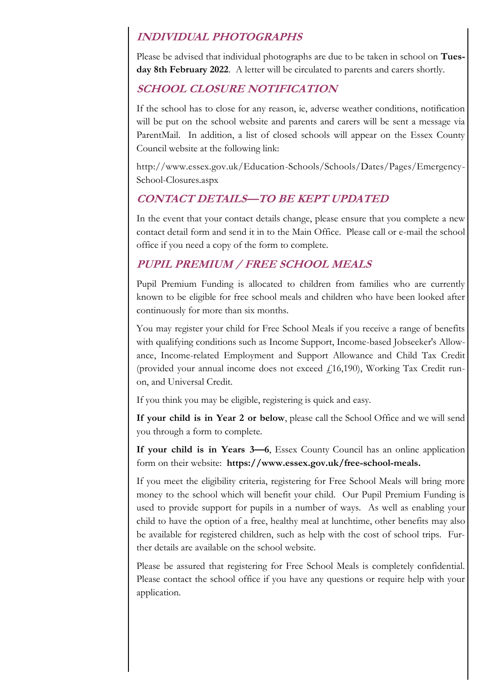#### **INDIVIDUAL PHOTOGRAPHS**

Please be advised that individual photographs are due to be taken in school on **Tuesday 8th February 2022**. A letter will be circulated to parents and carers shortly.

#### **SCHOOL CLOSURE NOTIFICATION**

If the school has to close for any reason, ie, adverse weather conditions, notification will be put on the school website and parents and carers will be sent a message via ParentMail. In addition, a list of closed schools will appear on the Essex County Council website at the following link:

http://www.essex.gov.uk/Education-Schools/Schools/Dates/Pages/Emergency-School-Closures.aspx

## **CONTACT DETAILS—TO BE KEPT UPDATED**

In the event that your contact details change, please ensure that you complete a new contact detail form and send it in to the Main Office. Please call or e-mail the school office if you need a copy of the form to complete.

## **PUPIL PREMIUM / FREE SCHOOL MEALS**

Pupil Premium Funding is allocated to children from families who are currently known to be eligible for free school meals and children who have been looked after continuously for more than six months.

You may register your child for Free School Meals if you receive a range of benefits with qualifying conditions such as Income Support, Income-based Jobseeker's Allowance, Income-related Employment and Support Allowance and Child Tax Credit (provided your annual income does not exceed  $f(16,190)$ , Working Tax Credit runon, and Universal Credit.

If you think you may be eligible, registering is quick and easy.

**If your child is in Year 2 or below**, please call the School Office and we will send you through a form to complete.

**If your child is in Years 3—6**, Essex County Council has an online application form on their website: **https://www.essex.gov.uk/free-school-meals.**

If you meet the eligibility criteria, registering for Free School Meals will bring more money to the school which will benefit your child. Our Pupil Premium Funding is used to provide support for pupils in a number of ways. As well as enabling your child to have the option of a free, healthy meal at lunchtime, other benefits may also be available for registered children, such as help with the cost of school trips. Further details are available on the school website.

Please be assured that registering for Free School Meals is completely confidential. Please contact the school office if you have any questions or require help with your application.